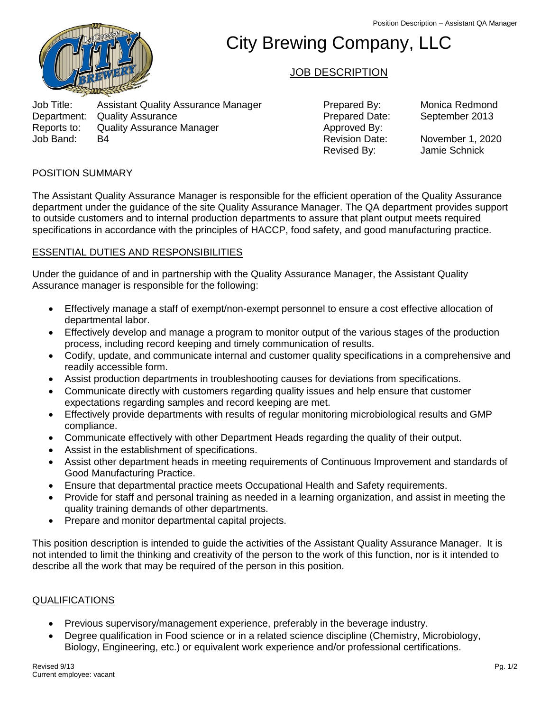

# City Brewing Company, LLC

## JOB DESCRIPTION

Job Title: Assistant Quality Assurance Manager Prepared By: Monica Redmond Department: Quality Assurance Prepared Date: September 2013 Reports to: Quality Assurance Manager **All and Separate Approved By:**<br>Approved By: Announce Manager Approved By: Approved By: Job Band: B4 Revision Date: November 1, 2020

Revised By: Jamie Schnick

#### POSITION SUMMARY

The Assistant Quality Assurance Manager is responsible for the efficient operation of the Quality Assurance department under the guidance of the site Quality Assurance Manager. The QA department provides support to outside customers and to internal production departments to assure that plant output meets required specifications in accordance with the principles of HACCP, food safety, and good manufacturing practice.

#### ESSENTIAL DUTIES AND RESPONSIBILITIES

Under the guidance of and in partnership with the Quality Assurance Manager, the Assistant Quality Assurance manager is responsible for the following:

- Effectively manage a staff of exempt/non-exempt personnel to ensure a cost effective allocation of departmental labor.
- Effectively develop and manage a program to monitor output of the various stages of the production process, including record keeping and timely communication of results.
- Codify, update, and communicate internal and customer quality specifications in a comprehensive and readily accessible form.
- Assist production departments in troubleshooting causes for deviations from specifications.
- Communicate directly with customers regarding quality issues and help ensure that customer expectations regarding samples and record keeping are met.
- Effectively provide departments with results of regular monitoring microbiological results and GMP compliance.
- Communicate effectively with other Department Heads regarding the quality of their output.
- Assist in the establishment of specifications.
- Assist other department heads in meeting requirements of Continuous Improvement and standards of Good Manufacturing Practice.
- Ensure that departmental practice meets Occupational Health and Safety requirements.
- Provide for staff and personal training as needed in a learning organization, and assist in meeting the quality training demands of other departments.
- Prepare and monitor departmental capital projects.

This position description is intended to guide the activities of the Assistant Quality Assurance Manager. It is not intended to limit the thinking and creativity of the person to the work of this function, nor is it intended to describe all the work that may be required of the person in this position.

### QUALIFICATIONS

- Previous supervisory/management experience, preferably in the beverage industry.
- Degree qualification in Food science or in a related science discipline (Chemistry, Microbiology, Biology, Engineering, etc.) or equivalent work experience and/or professional certifications.